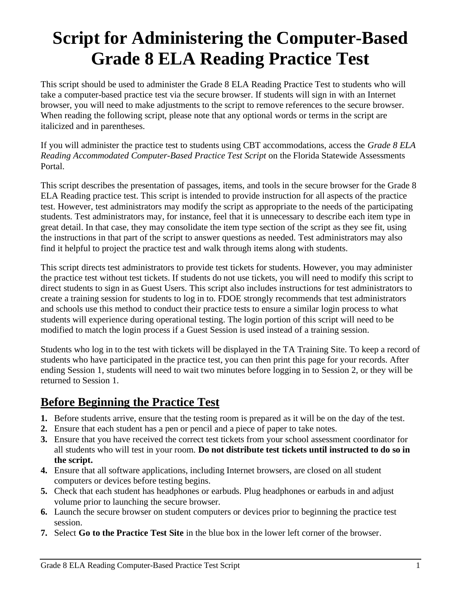# **Script for Administering the Computer-Based Grade 8 ELA Reading Practice Test**

This script should be used to administer the Grade 8 ELA Reading Practice Test to students who will take a computer-based practice test via the secure browser. If students will sign in with an Internet browser, you will need to make adjustments to the script to remove references to the secure browser. When reading the following script, please note that any optional words or terms in the script are italicized and in parentheses.

If you will administer the practice test to students using CBT accommodations, access the *Grade 8 ELA Reading Accommodated Computer-Based Practice Test Script* on the Florida Statewide Assessments Portal.

This script describes the presentation of passages, items, and tools in the secure browser for the Grade 8 ELA Reading practice test. This script is intended to provide instruction for all aspects of the practice test. However, test administrators may modify the script as appropriate to the needs of the participating students. Test administrators may, for instance, feel that it is unnecessary to describe each item type in great detail. In that case, they may consolidate the item type section of the script as they see fit, using the instructions in that part of the script to answer questions as needed. Test administrators may also find it helpful to project the practice test and walk through items along with students.

This script directs test administrators to provide test tickets for students. However, you may administer the practice test without test tickets. If students do not use tickets, you will need to modify this script to direct students to sign in as Guest Users. This script also includes instructions for test administrators to create a training session for students to log in to. FDOE strongly recommends that test administrators and schools use this method to conduct their practice tests to ensure a similar login process to what students will experience during operational testing. The login portion of this script will need to be modified to match the login process if a Guest Session is used instead of a training session.

Students who log in to the test with tickets will be displayed in the TA Training Site. To keep a record of students who have participated in the practice test, you can then print this page for your records. After ending Session 1, students will need to wait two minutes before logging in to Session 2, or they will be returned to Session 1.

## **Before Beginning the Practice Test**

- **1.** Before students arrive, ensure that the testing room is prepared as it will be on the day of the test.
- **2.** Ensure that each student has a pen or pencil and a piece of paper to take notes.
- **3.** Ensure that you have received the correct test tickets from your school assessment coordinator for all students who will test in your room. **Do not distribute test tickets until instructed to do so in the script.**
- **4.** Ensure that all software applications, including Internet browsers, are closed on all student computers or devices before testing begins.
- **5.** Check that each student has headphones or earbuds. Plug headphones or earbuds in and adjust volume prior to launching the secure browser.
- **6.** Launch the secure browser on student computers or devices prior to beginning the practice test session.
- **7.** Select **Go to the Practice Test Site** in the blue box in the lower left corner of the browser.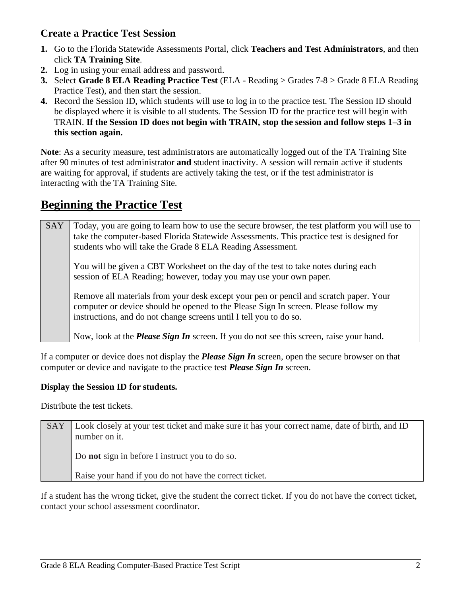### **Create a Practice Test Session**

- **1.** Go to the Florida Statewide Assessments Portal, click **Teachers and Test Administrators**, and then click **TA Training Site**.
- **2.** Log in using your email address and password.
- **3.** Select **Grade 8 ELA Reading Practice Test** (ELA Reading > Grades 7-8 > Grade 8 ELA Reading Practice Test), and then start the session.
- **4.** Record the Session ID, which students will use to log in to the practice test. The Session ID should be displayed where it is visible to all students. The Session ID for the practice test will begin with TRAIN. **If the Session ID does not begin with TRAIN, stop the session and follow steps 1–3 in this section again.**

**Note**: As a security measure, test administrators are automatically logged out of the TA Training Site after 90 minutes of test administrator **and** student inactivity. A session will remain active if students are waiting for approval, if students are actively taking the test, or if the test administrator is interacting with the TA Training Site.

## **Beginning the Practice Test**

| SAY | Today, you are going to learn how to use the secure browser, the test platform you will use to<br>take the computer-based Florida Statewide Assessments. This practice test is designed for<br>students who will take the Grade 8 ELA Reading Assessment. |
|-----|-----------------------------------------------------------------------------------------------------------------------------------------------------------------------------------------------------------------------------------------------------------|
|     | You will be given a CBT Worksheet on the day of the test to take notes during each<br>session of ELA Reading; however, today you may use your own paper.                                                                                                  |
|     | Remove all materials from your desk except your pen or pencil and scratch paper. Your<br>computer or device should be opened to the Please Sign In screen. Please follow my<br>instructions, and do not change screens until I tell you to do so.         |
|     | Now, look at the <i>Please Sign In</i> screen. If you do not see this screen, raise your hand.                                                                                                                                                            |

If a computer or device does not display the *Please Sign In* screen, open the secure browser on that computer or device and navigate to the practice test *Please Sign In* screen.

#### **Display the Session ID for students.**

Distribute the test tickets.

| SAY | Look closely at your test ticket and make sure it has your correct name, date of birth, and ID |
|-----|------------------------------------------------------------------------------------------------|
|     | number on it.                                                                                  |
|     | Do <b>not</b> sign in before I instruct you to do so.                                          |
|     | Raise your hand if you do not have the correct ticket.                                         |

If a student has the wrong ticket, give the student the correct ticket. If you do not have the correct ticket, contact your school assessment coordinator.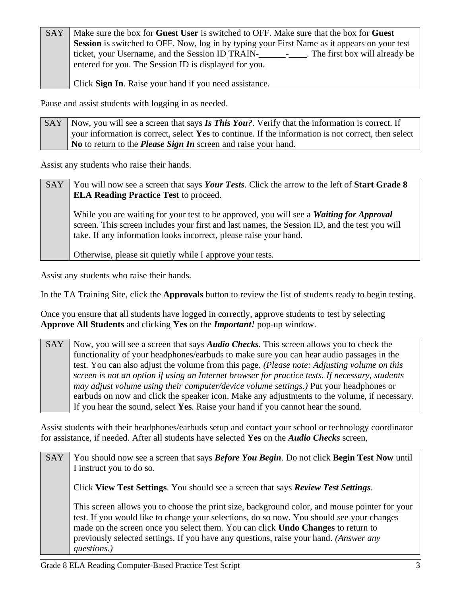| <b>SAY</b> | Make sure the box for Guest User is switched to OFF. Make sure that the box for Guest                         |
|------------|---------------------------------------------------------------------------------------------------------------|
|            | Session is switched to OFF. Now, log in by typing your First Name as it appears on your test                  |
|            | ticket, your Username, and the Session ID TRAIN-<br>The first box will already be<br><b>Contract Contract</b> |
|            | entered for you. The Session ID is displayed for you.                                                         |

Click **Sign In**. Raise your hand if you need assistance.

Pause and assist students with logging in as needed.

SAY Now, you will see a screen that says **Is This You?**. Verify that the information is correct. If your information is correct, select **Yes** to continue. If the information is not correct, then select **No** to return to the *Please Sign In* screen and raise your hand.

Assist any students who raise their hands.

| <b>SAY</b> | You will now see a screen that says Your Tests. Click the arrow to the left of Start Grade 8<br><b>ELA Reading Practice Test to proceed.</b>                                                                                                                         |
|------------|----------------------------------------------------------------------------------------------------------------------------------------------------------------------------------------------------------------------------------------------------------------------|
|            | While you are waiting for your test to be approved, you will see a <i>Waiting for Approval</i><br>screen. This screen includes your first and last names, the Session ID, and the test you will<br>take. If any information looks incorrect, please raise your hand. |
|            | Otherwise, please sit quietly while I approve your tests.                                                                                                                                                                                                            |

Assist any students who raise their hands.

In the TA Training Site, click the **Approvals** button to review the list of students ready to begin testing.

Once you ensure that all students have logged in correctly, approve students to test by selecting **Approve All Students** and clicking **Yes** on the *Important!* pop-up window.

SAY Now, you will see a screen that says *Audio Checks*. This screen allows you to check the functionality of your headphones/earbuds to make sure you can hear audio passages in the test. You can also adjust the volume from this page. *(Please note: Adjusting volume on this screen is not an option if using an Internet browser for practice tests. If necessary, students may adjust volume using their computer/device volume settings.)* Put your headphones or earbuds on now and click the speaker icon. Make any adjustments to the volume, if necessary. If you hear the sound, select **Yes**. Raise your hand if you cannot hear the sound.

Assist students with their headphones/earbuds setup and contact your school or technology coordinator for assistance, if needed. After all students have selected **Yes** on the *Audio Checks* screen,

| <b>SAY</b> | You should now see a screen that says <b>Before You Begin</b> . Do not click <b>Begin Test Now</b> until |
|------------|----------------------------------------------------------------------------------------------------------|
|            | I instruct you to do so.                                                                                 |
|            | Click View Test Settings. You should see a screen that says Review Test Settings.                        |
|            | This screen allows you to choose the print size, background color, and mouse pointer for your            |
|            | test. If you would like to change your selections, do so now. You should see your changes                |
|            | made on the screen once you select them. You can click Undo Changes to return to                         |
|            | previously selected settings. If you have any questions, raise your hand. (Answer any                    |
|            | questions.)                                                                                              |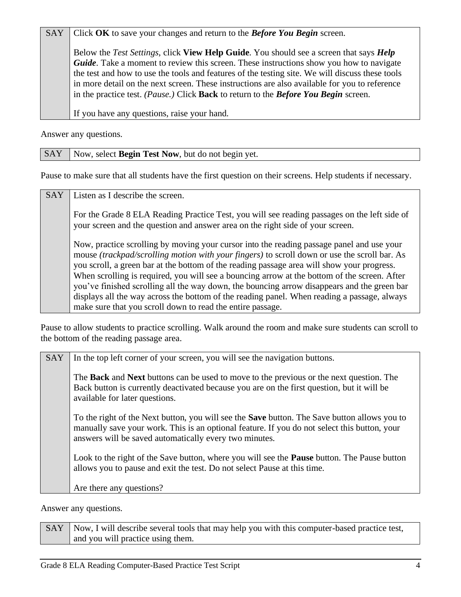SAY Click OK to save your changes and return to the *Before You Begin* screen.

Below the *Test Settings*, click **View Help Guide**. You should see a screen that says *Help Guide*. Take a moment to review this screen. These instructions show you how to navigate the test and how to use the tools and features of the testing site. We will discuss these tools in more detail on the next screen. These instructions are also available for you to reference in the practice test. *(Pause.)* Click **Back** to return to the *Before You Begin* screen.

If you have any questions, raise your hand.

Answer any questions.

#### SAY | Now, select **Begin Test Now**, but do not begin yet.

Pause to make sure that all students have the first question on their screens. Help students if necessary.

SAY Listen as I describe the screen.

For the Grade 8 ELA Reading Practice Test, you will see reading passages on the left side of your screen and the question and answer area on the right side of your screen.

Now, practice scrolling by moving your cursor into the reading passage panel and use your mouse *(trackpad/scrolling motion with your fingers)* to scroll down or use the scroll bar. As you scroll, a green bar at the bottom of the reading passage area will show your progress. When scrolling is required, you will see a bouncing arrow at the bottom of the screen. After you've finished scrolling all the way down, the bouncing arrow disappears and the green bar displays all the way across the bottom of the reading panel. When reading a passage, always make sure that you scroll down to read the entire passage.

Pause to allow students to practice scrolling. Walk around the room and make sure students can scroll to the bottom of the reading passage area.

| <b>SAY</b> | In the top left corner of your screen, you will see the navigation buttons.                                                                                                                                                                                   |
|------------|---------------------------------------------------------------------------------------------------------------------------------------------------------------------------------------------------------------------------------------------------------------|
|            | The <b>Back</b> and <b>Next</b> buttons can be used to move to the previous or the next question. The<br>Back button is currently deactivated because you are on the first question, but it will be<br>available for later questions.                         |
|            | To the right of the Next button, you will see the <b>Save</b> button. The Save button allows you to<br>manually save your work. This is an optional feature. If you do not select this button, your<br>answers will be saved automatically every two minutes. |
|            | Look to the right of the Save button, where you will see the <b>Pause</b> button. The Pause button<br>allows you to pause and exit the test. Do not select Pause at this time.                                                                                |
|            | Are there any questions?                                                                                                                                                                                                                                      |

Answer any questions.

SAY Now, I will describe several tools that may help you with this computer-based practice test, and you will practice using them.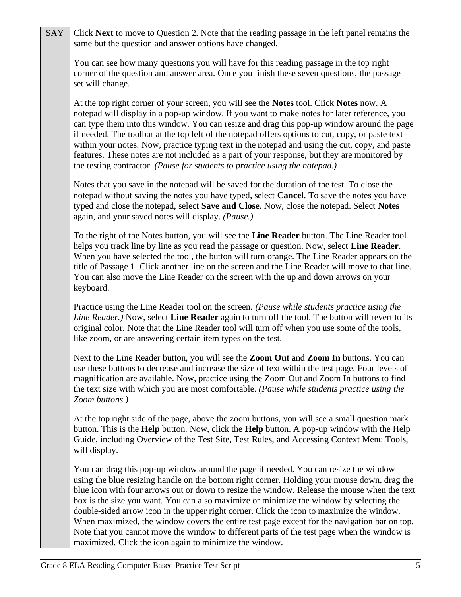| SAY | Click Next to move to Question 2. Note that the reading passage in the left panel remains the                                                                                                                                                                                                                                                                                                                                                                                                                                                                                                                                                                                                                                          |
|-----|----------------------------------------------------------------------------------------------------------------------------------------------------------------------------------------------------------------------------------------------------------------------------------------------------------------------------------------------------------------------------------------------------------------------------------------------------------------------------------------------------------------------------------------------------------------------------------------------------------------------------------------------------------------------------------------------------------------------------------------|
|     | same but the question and answer options have changed.                                                                                                                                                                                                                                                                                                                                                                                                                                                                                                                                                                                                                                                                                 |
|     | You can see how many questions you will have for this reading passage in the top right<br>corner of the question and answer area. Once you finish these seven questions, the passage<br>set will change.                                                                                                                                                                                                                                                                                                                                                                                                                                                                                                                               |
|     | At the top right corner of your screen, you will see the <b>Notes</b> tool. Click <b>Notes</b> now. A<br>notepad will display in a pop-up window. If you want to make notes for later reference, you<br>can type them into this window. You can resize and drag this pop-up window around the page<br>if needed. The toolbar at the top left of the notepad offers options to cut, copy, or paste text<br>within your notes. Now, practice typing text in the notepad and using the cut, copy, and paste<br>features. These notes are not included as a part of your response, but they are monitored by<br>the testing contractor. (Pause for students to practice using the notepad.)                                                |
|     | Notes that you save in the notepad will be saved for the duration of the test. To close the<br>notepad without saving the notes you have typed, select Cancel. To save the notes you have<br>typed and close the notepad, select Save and Close. Now, close the notepad. Select Notes<br>again, and your saved notes will display. (Pause.)                                                                                                                                                                                                                                                                                                                                                                                            |
|     | To the right of the Notes button, you will see the Line Reader button. The Line Reader tool<br>helps you track line by line as you read the passage or question. Now, select Line Reader.<br>When you have selected the tool, the button will turn orange. The Line Reader appears on the<br>title of Passage 1. Click another line on the screen and the Line Reader will move to that line.<br>You can also move the Line Reader on the screen with the up and down arrows on your<br>keyboard.                                                                                                                                                                                                                                      |
|     | Practice using the Line Reader tool on the screen. (Pause while students practice using the<br>Line Reader.) Now, select Line Reader again to turn off the tool. The button will revert to its<br>original color. Note that the Line Reader tool will turn off when you use some of the tools,<br>like zoom, or are answering certain item types on the test.                                                                                                                                                                                                                                                                                                                                                                          |
|     | Next to the Line Reader button, you will see the Zoom Out and Zoom In buttons. You can<br>use these buttons to decrease and increase the size of text within the test page. Four levels of<br>magnification are available. Now, practice using the Zoom Out and Zoom In buttons to find<br>the text size with which you are most comfortable. (Pause while students practice using the<br>Zoom buttons.)                                                                                                                                                                                                                                                                                                                               |
|     | At the top right side of the page, above the zoom buttons, you will see a small question mark<br>button. This is the <b>Help</b> button. Now, click the <b>Help</b> button. A pop-up window with the Help<br>Guide, including Overview of the Test Site, Test Rules, and Accessing Context Menu Tools,<br>will display.                                                                                                                                                                                                                                                                                                                                                                                                                |
|     | You can drag this pop-up window around the page if needed. You can resize the window<br>using the blue resizing handle on the bottom right corner. Holding your mouse down, drag the<br>blue icon with four arrows out or down to resize the window. Release the mouse when the text<br>box is the size you want. You can also maximize or minimize the window by selecting the<br>double-sided arrow icon in the upper right corner. Click the icon to maximize the window.<br>When maximized, the window covers the entire test page except for the navigation bar on top.<br>Note that you cannot move the window to different parts of the test page when the window is<br>maximized. Click the icon again to minimize the window. |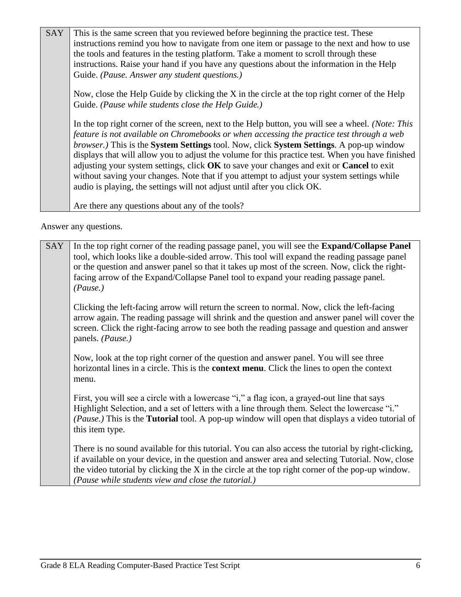| <b>SAY</b> | This is the same screen that you reviewed before beginning the practice test. These<br>instructions remind you how to navigate from one item or passage to the next and how to use<br>the tools and features in the testing platform. Take a moment to scroll through these<br>instructions. Raise your hand if you have any questions about the information in the Help<br>Guide. (Pause. Answer any student questions.)                                                                                                                                                                                                                                                                  |
|------------|--------------------------------------------------------------------------------------------------------------------------------------------------------------------------------------------------------------------------------------------------------------------------------------------------------------------------------------------------------------------------------------------------------------------------------------------------------------------------------------------------------------------------------------------------------------------------------------------------------------------------------------------------------------------------------------------|
|            | Now, close the Help Guide by clicking the X in the circle at the top right corner of the Help<br>Guide. (Pause while students close the Help Guide.)                                                                                                                                                                                                                                                                                                                                                                                                                                                                                                                                       |
|            | In the top right corner of the screen, next to the Help button, you will see a wheel. (Note: This<br>feature is not available on Chromebooks or when accessing the practice test through a web<br><i>browser.</i> ) This is the <b>System Settings</b> tool. Now, click <b>System Settings</b> . A pop-up window<br>displays that will allow you to adjust the volume for this practice test. When you have finished<br>adjusting your system settings, click OK to save your changes and exit or Cancel to exit<br>without saving your changes. Note that if you attempt to adjust your system settings while<br>audio is playing, the settings will not adjust until after you click OK. |
|            | Are there any questions about any of the tools?                                                                                                                                                                                                                                                                                                                                                                                                                                                                                                                                                                                                                                            |

Answer any questions.

SAY In the top right corner of the reading passage panel, you will see the **Expand/Collapse Panel** tool, which looks like a double-sided arrow. This tool will expand the reading passage panel or the question and answer panel so that it takes up most of the screen. Now, click the rightfacing arrow of the Expand/Collapse Panel tool to expand your reading passage panel. *(Pause.)*

Clicking the left-facing arrow will return the screen to normal. Now, click the left-facing arrow again. The reading passage will shrink and the question and answer panel will cover the screen. Click the right-facing arrow to see both the reading passage and question and answer panels. *(Pause.)*

Now, look at the top right corner of the question and answer panel. You will see three horizontal lines in a circle. This is the **context menu**. Click the lines to open the context menu.

First, you will see a circle with a lowercase "i," a flag icon, a grayed-out line that says Highlight Selection, and a set of letters with a line through them. Select the lowercase "i." *(Pause.)* This is the **Tutorial** tool. A pop-up window will open that displays a video tutorial of this item type.

There is no sound available for this tutorial. You can also access the tutorial by right-clicking, if available on your device, in the question and answer area and selecting Tutorial. Now, close the video tutorial by clicking the X in the circle at the top right corner of the pop-up window. *(Pause while students view and close the tutorial.)*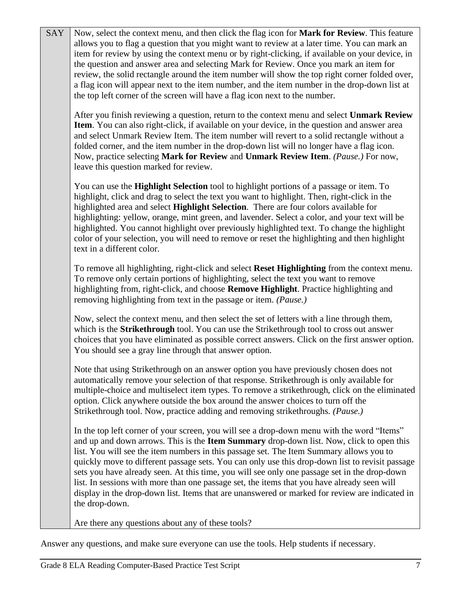| <b>SAY</b> | Now, select the context menu, and then click the flag icon for Mark for Review. This feature<br>allows you to flag a question that you might want to review at a later time. You can mark an<br>item for review by using the context menu or by right-clicking, if available on your device, in<br>the question and answer area and selecting Mark for Review. Once you mark an item for<br>review, the solid rectangle around the item number will show the top right corner folded over,<br>a flag icon will appear next to the item number, and the item number in the drop-down list at<br>the top left corner of the screen will have a flag icon next to the number.                              |
|------------|---------------------------------------------------------------------------------------------------------------------------------------------------------------------------------------------------------------------------------------------------------------------------------------------------------------------------------------------------------------------------------------------------------------------------------------------------------------------------------------------------------------------------------------------------------------------------------------------------------------------------------------------------------------------------------------------------------|
|            | After you finish reviewing a question, return to the context menu and select Unmark Review<br>Item. You can also right-click, if available on your device, in the question and answer area<br>and select Unmark Review Item. The item number will revert to a solid rectangle without a<br>folded corner, and the item number in the drop-down list will no longer have a flag icon.<br>Now, practice selecting Mark for Review and Unmark Review Item. (Pause.) For now,<br>leave this question marked for review.                                                                                                                                                                                     |
|            | You can use the <b>Highlight Selection</b> tool to highlight portions of a passage or item. To<br>highlight, click and drag to select the text you want to highlight. Then, right-click in the<br>highlighted area and select Highlight Selection. There are four colors available for<br>highlighting: yellow, orange, mint green, and lavender. Select a color, and your text will be<br>highlighted. You cannot highlight over previously highlighted text. To change the highlight<br>color of your selection, you will need to remove or reset the highlighting and then highlight<br>text in a different color.                                                                                   |
|            | To remove all highlighting, right-click and select Reset Highlighting from the context menu.<br>To remove only certain portions of highlighting, select the text you want to remove<br>highlighting from, right-click, and choose Remove Highlight. Practice highlighting and<br>removing highlighting from text in the passage or item. (Pause.)                                                                                                                                                                                                                                                                                                                                                       |
|            | Now, select the context menu, and then select the set of letters with a line through them,<br>which is the Strikethrough tool. You can use the Strikethrough tool to cross out answer<br>choices that you have eliminated as possible correct answers. Click on the first answer option.<br>You should see a gray line through that answer option.                                                                                                                                                                                                                                                                                                                                                      |
|            | Note that using Strikethrough on an answer option you have previously chosen does not<br>automatically remove your selection of that response. Strikethrough is only available for<br>multiple-choice and multiselect item types. To remove a strikethrough, click on the eliminated<br>option. Click anywhere outside the box around the answer choices to turn off the<br>Strikethrough tool. Now, practice adding and removing strikethroughs. (Pause.)                                                                                                                                                                                                                                              |
|            | In the top left corner of your screen, you will see a drop-down menu with the word "Items"<br>and up and down arrows. This is the Item Summary drop-down list. Now, click to open this<br>list. You will see the item numbers in this passage set. The Item Summary allows you to<br>quickly move to different passage sets. You can only use this drop-down list to revisit passage<br>sets you have already seen. At this time, you will see only one passage set in the drop-down<br>list. In sessions with more than one passage set, the items that you have already seen will<br>display in the drop-down list. Items that are unanswered or marked for review are indicated in<br>the drop-down. |
|            | Are there any questions about any of these tools?                                                                                                                                                                                                                                                                                                                                                                                                                                                                                                                                                                                                                                                       |

Answer any questions, and make sure everyone can use the tools. Help students if necessary.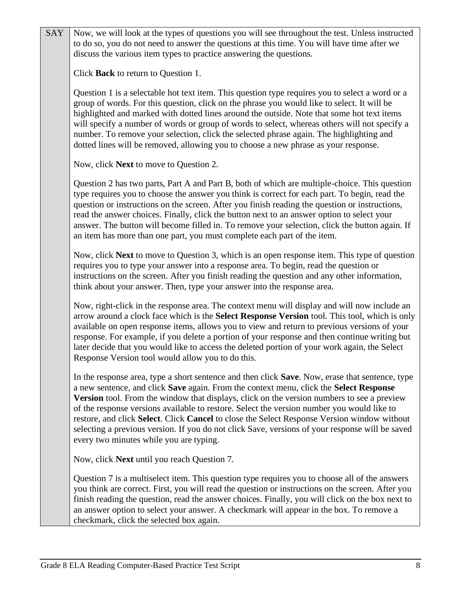| <b>SAY</b> | Now, we will look at the types of questions you will see throughout the test. Unless instructed<br>to do so, you do not need to answer the questions at this time. You will have time after we                                                                                                                                                                                                                                                                                                                                                                                                                                             |
|------------|--------------------------------------------------------------------------------------------------------------------------------------------------------------------------------------------------------------------------------------------------------------------------------------------------------------------------------------------------------------------------------------------------------------------------------------------------------------------------------------------------------------------------------------------------------------------------------------------------------------------------------------------|
|            | discuss the various item types to practice answering the questions.                                                                                                                                                                                                                                                                                                                                                                                                                                                                                                                                                                        |
|            | Click <b>Back</b> to return to Question 1.                                                                                                                                                                                                                                                                                                                                                                                                                                                                                                                                                                                                 |
|            | Question 1 is a selectable hot text item. This question type requires you to select a word or a<br>group of words. For this question, click on the phrase you would like to select. It will be<br>highlighted and marked with dotted lines around the outside. Note that some hot text items<br>will specify a number of words or group of words to select, whereas others will not specify a<br>number. To remove your selection, click the selected phrase again. The highlighting and<br>dotted lines will be removed, allowing you to choose a new phrase as your response.                                                            |
|            | Now, click <b>Next</b> to move to Question 2.                                                                                                                                                                                                                                                                                                                                                                                                                                                                                                                                                                                              |
|            | Question 2 has two parts, Part A and Part B, both of which are multiple-choice. This question<br>type requires you to choose the answer you think is correct for each part. To begin, read the<br>question or instructions on the screen. After you finish reading the question or instructions,<br>read the answer choices. Finally, click the button next to an answer option to select your<br>answer. The button will become filled in. To remove your selection, click the button again. If<br>an item has more than one part, you must complete each part of the item.                                                               |
|            | Now, click Next to move to Question 3, which is an open response item. This type of question<br>requires you to type your answer into a response area. To begin, read the question or<br>instructions on the screen. After you finish reading the question and any other information,<br>think about your answer. Then, type your answer into the response area.                                                                                                                                                                                                                                                                           |
|            | Now, right-click in the response area. The context menu will display and will now include an<br>arrow around a clock face which is the Select Response Version tool. This tool, which is only<br>available on open response items, allows you to view and return to previous versions of your<br>response. For example, if you delete a portion of your response and then continue writing but<br>later decide that you would like to access the deleted portion of your work again, the Select<br>Response Version tool would allow you to do this.                                                                                       |
|            | In the response area, type a short sentence and then click <b>Save</b> . Now, erase that sentence, type<br>a new sentence, and click Save again. From the context menu, click the Select Response<br>Version tool. From the window that displays, click on the version numbers to see a preview<br>of the response versions available to restore. Select the version number you would like to<br>restore, and click Select. Click Cancel to close the Select Response Version window without<br>selecting a previous version. If you do not click Save, versions of your response will be saved<br>every two minutes while you are typing. |
|            | Now, click Next until you reach Question 7.                                                                                                                                                                                                                                                                                                                                                                                                                                                                                                                                                                                                |
|            | Question 7 is a multiselect item. This question type requires you to choose all of the answers<br>you think are correct. First, you will read the question or instructions on the screen. After you<br>finish reading the question, read the answer choices. Finally, you will click on the box next to<br>an answer option to select your answer. A checkmark will appear in the box. To remove a<br>checkmark, click the selected box again.                                                                                                                                                                                             |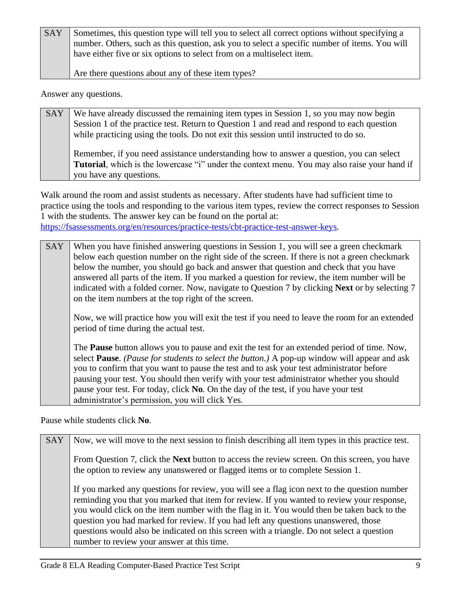| <b>SAY</b> | Sometimes, this question type will tell you to select all correct options without specifying a |
|------------|------------------------------------------------------------------------------------------------|
|            | number. Others, such as this question, ask you to select a specific number of items. You will  |
|            | have either five or six options to select from on a multiselect item.                          |
|            |                                                                                                |

Are there questions about any of these item types?

Answer any questions.

| <b>SAY</b> | We have already discussed the remaining item types in Session 1, so you may now begin        |
|------------|----------------------------------------------------------------------------------------------|
|            | Session 1 of the practice test. Return to Question 1 and read and respond to each question   |
|            | while practicing using the tools. Do not exit this session until instructed to do so.        |
|            |                                                                                              |
|            | Remember, if you need assistance understanding how to answer a question, you can select      |
|            | Tutorial, which is the lowercase "i" under the context menu. You may also raise your hand if |
|            | you have any questions.                                                                      |

Walk around the room and assist students as necessary. After students have had sufficient time to practice using the tools and responding to the various item types, review the correct responses to Session 1 with the students. The answer key can be found on the portal at: [https://fsassessments.org/en/resources/practice-tests/cbt-practice-test-answer-keys.](https://fsassessments.org/en/resources/practice-tests/cbt-practice-test-answer-keys)

SAY When you have finished answering questions in Session 1, you will see a green checkmark below each question number on the right side of the screen. If there is not a green checkmark below the number, you should go back and answer that question and check that you have answered all parts of the item. If you marked a question for review, the item number will be indicated with a folded corner. Now, navigate to Question 7 by clicking **Next** or by selecting 7 on the item numbers at the top right of the screen.

Now, we will practice how you will exit the test if you need to leave the room for an extended period of time during the actual test.

The **Pause** button allows you to pause and exit the test for an extended period of time. Now, select **Pause**. *(Pause for students to select the button.)* A pop-up window will appear and ask you to confirm that you want to pause the test and to ask your test administrator before pausing your test. You should then verify with your test administrator whether you should pause your test. For today, click **No**. On the day of the test, if you have your test administrator's permission, you will click Yes.

Pause while students click **No**.

| <b>SAY</b> | Now, we will move to the next session to finish describing all item types in this practice test.                                                                                                                                                                                                                                                                                                                                                                                                                             |
|------------|------------------------------------------------------------------------------------------------------------------------------------------------------------------------------------------------------------------------------------------------------------------------------------------------------------------------------------------------------------------------------------------------------------------------------------------------------------------------------------------------------------------------------|
|            | From Question 7, click the <b>Next</b> button to access the review screen. On this screen, you have<br>the option to review any unanswered or flagged items or to complete Session 1.                                                                                                                                                                                                                                                                                                                                        |
|            | If you marked any questions for review, you will see a flag icon next to the question number<br>reminding you that you marked that item for review. If you wanted to review your response,<br>you would click on the item number with the flag in it. You would then be taken back to the<br>question you had marked for review. If you had left any questions unanswered, those<br>questions would also be indicated on this screen with a triangle. Do not select a question<br>number to review your answer at this time. |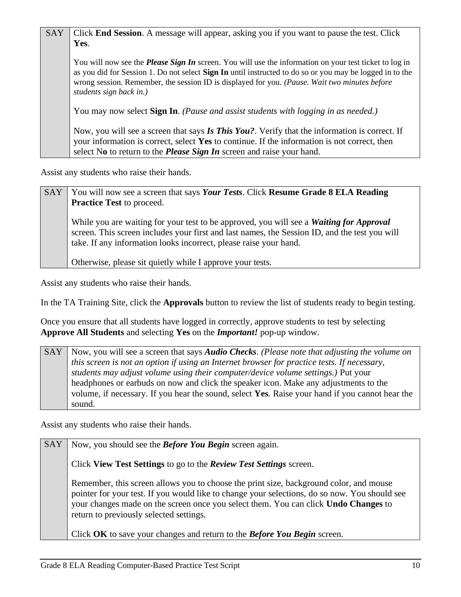| <b>SAY</b> | Click <b>End Session</b> . A message will appear, asking you if you want to pause the test. Click                                                                                                                                                                                                                                                     |
|------------|-------------------------------------------------------------------------------------------------------------------------------------------------------------------------------------------------------------------------------------------------------------------------------------------------------------------------------------------------------|
|            | Yes.                                                                                                                                                                                                                                                                                                                                                  |
|            | You will now see the <i>Please Sign In</i> screen. You will use the information on your test ticket to log in<br>as you did for Session 1. Do not select Sign In until instructed to do so or you may be logged in to the<br>wrong session. Remember, the session ID is displayed for you. (Pause. Wait two minutes before<br>students sign back in.) |
|            | You may now select <b>Sign In</b> . (Pause and assist students with logging in as needed.)                                                                                                                                                                                                                                                            |
|            | Now, you will see a screen that says Is This You?. Verify that the information is correct. If<br>your information is correct, select Yes to continue. If the information is not correct, then<br>select No to return to the <i>Please Sign In</i> screen and raise your hand.                                                                         |

Assist any students who raise their hands.

| SAY | You will now see a screen that says Your Tests. Click Resume Grade 8 ELA Reading<br><b>Practice Test to proceed.</b>                                                                                                                                                 |
|-----|----------------------------------------------------------------------------------------------------------------------------------------------------------------------------------------------------------------------------------------------------------------------|
|     | While you are waiting for your test to be approved, you will see a <i>Waiting for Approval</i><br>screen. This screen includes your first and last names, the Session ID, and the test you will<br>take. If any information looks incorrect, please raise your hand. |
|     | Otherwise, please sit quietly while I approve your tests.                                                                                                                                                                                                            |

Assist any students who raise their hands.

In the TA Training Site, click the **Approvals** button to review the list of students ready to begin testing.

Once you ensure that all students have logged in correctly, approve students to test by selecting **Approve All Students** and selecting **Yes** on the *Important!* pop-up window.

SAY | Now, you will see a screen that says *Audio Checks*. *(Please note that adjusting the volume on this screen is not an option if using an Internet browser for practice tests. If necessary, students may adjust volume using their computer/device volume settings.)* Put your headphones or earbuds on now and click the speaker icon. Make any adjustments to the volume, if necessary. If you hear the sound, select **Yes**. Raise your hand if you cannot hear the sound.

Assist any students who raise their hands.

SAY Now, you should see the *Before You Begin* screen again.

Click **View Test Settings** to go to the *Review Test Settings* screen.

Remember, this screen allows you to choose the print size, background color, and mouse pointer for your test. If you would like to change your selections, do so now. You should see your changes made on the screen once you select them. You can click **Undo Changes** to return to previously selected settings.

Click **OK** to save your changes and return to the *Before You Begin* screen.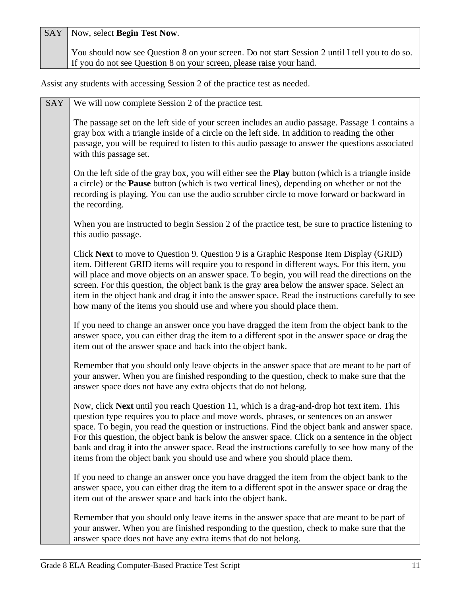SAY Now, select **Begin Test Now**.

You should now see Question 8 on your screen. Do not start Session 2 until I tell you to do so. If you do not see Question 8 on your screen, please raise your hand.

Assist any students with accessing Session 2 of the practice test as needed.

| SAY | We will now complete Session 2 of the practice test.                                                                                                                                                                                                                                                                                                                                                                                                                                                                                                                     |
|-----|--------------------------------------------------------------------------------------------------------------------------------------------------------------------------------------------------------------------------------------------------------------------------------------------------------------------------------------------------------------------------------------------------------------------------------------------------------------------------------------------------------------------------------------------------------------------------|
|     | The passage set on the left side of your screen includes an audio passage. Passage 1 contains a<br>gray box with a triangle inside of a circle on the left side. In addition to reading the other<br>passage, you will be required to listen to this audio passage to answer the questions associated<br>with this passage set.                                                                                                                                                                                                                                          |
|     | On the left side of the gray box, you will either see the <b>Play</b> button (which is a triangle inside<br>a circle) or the <b>Pause</b> button (which is two vertical lines), depending on whether or not the<br>recording is playing. You can use the audio scrubber circle to move forward or backward in<br>the recording.                                                                                                                                                                                                                                          |
|     | When you are instructed to begin Session 2 of the practice test, be sure to practice listening to<br>this audio passage.                                                                                                                                                                                                                                                                                                                                                                                                                                                 |
|     | Click Next to move to Question 9. Question 9 is a Graphic Response Item Display (GRID)<br>item. Different GRID items will require you to respond in different ways. For this item, you<br>will place and move objects on an answer space. To begin, you will read the directions on the<br>screen. For this question, the object bank is the gray area below the answer space. Select an<br>item in the object bank and drag it into the answer space. Read the instructions carefully to see<br>how many of the items you should use and where you should place them.   |
|     | If you need to change an answer once you have dragged the item from the object bank to the<br>answer space, you can either drag the item to a different spot in the answer space or drag the<br>item out of the answer space and back into the object bank.                                                                                                                                                                                                                                                                                                              |
|     | Remember that you should only leave objects in the answer space that are meant to be part of<br>your answer. When you are finished responding to the question, check to make sure that the<br>answer space does not have any extra objects that do not belong.                                                                                                                                                                                                                                                                                                           |
|     | Now, click Next until you reach Question 11, which is a drag-and-drop hot text item. This<br>question type requires you to place and move words, phrases, or sentences on an answer<br>space. To begin, you read the question or instructions. Find the object bank and answer space.<br>For this question, the object bank is below the answer space. Click on a sentence in the object<br>bank and drag it into the answer space. Read the instructions carefully to see how many of the<br>items from the object bank you should use and where you should place them. |
|     | If you need to change an answer once you have dragged the item from the object bank to the<br>answer space, you can either drag the item to a different spot in the answer space or drag the<br>item out of the answer space and back into the object bank.                                                                                                                                                                                                                                                                                                              |
|     | Remember that you should only leave items in the answer space that are meant to be part of<br>your answer. When you are finished responding to the question, check to make sure that the<br>answer space does not have any extra items that do not belong.                                                                                                                                                                                                                                                                                                               |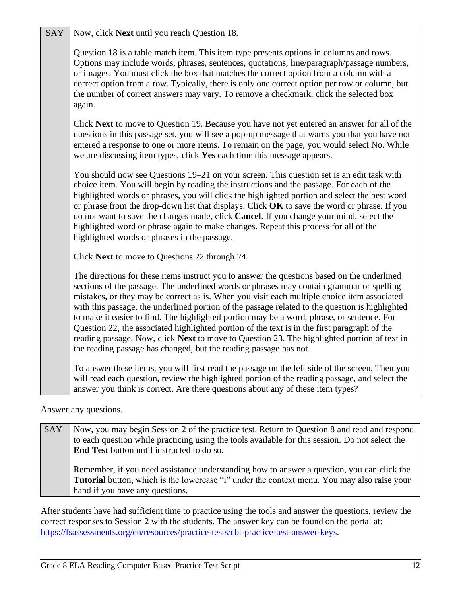| <b>SAY</b> | Now, click Next until you reach Question 18.                                                                                                                                                                                                                                                                                                                                                                                                                                                                                                                                                                                                                                                                                                                |
|------------|-------------------------------------------------------------------------------------------------------------------------------------------------------------------------------------------------------------------------------------------------------------------------------------------------------------------------------------------------------------------------------------------------------------------------------------------------------------------------------------------------------------------------------------------------------------------------------------------------------------------------------------------------------------------------------------------------------------------------------------------------------------|
|            | Question 18 is a table match item. This item type presents options in columns and rows.<br>Options may include words, phrases, sentences, quotations, line/paragraph/passage numbers,<br>or images. You must click the box that matches the correct option from a column with a<br>correct option from a row. Typically, there is only one correct option per row or column, but<br>the number of correct answers may vary. To remove a checkmark, click the selected box<br>again.                                                                                                                                                                                                                                                                         |
|            | Click Next to move to Question 19. Because you have not yet entered an answer for all of the<br>questions in this passage set, you will see a pop-up message that warns you that you have not<br>entered a response to one or more items. To remain on the page, you would select No. While<br>we are discussing item types, click Yes each time this message appears.                                                                                                                                                                                                                                                                                                                                                                                      |
|            | You should now see Questions 19–21 on your screen. This question set is an edit task with<br>choice item. You will begin by reading the instructions and the passage. For each of the<br>highlighted words or phrases, you will click the highlighted portion and select the best word<br>or phrase from the drop-down list that displays. Click OK to save the word or phrase. If you<br>do not want to save the changes made, click Cancel. If you change your mind, select the<br>highlighted word or phrase again to make changes. Repeat this process for all of the<br>highlighted words or phrases in the passage.                                                                                                                                   |
|            | Click Next to move to Questions 22 through 24.                                                                                                                                                                                                                                                                                                                                                                                                                                                                                                                                                                                                                                                                                                              |
|            | The directions for these items instruct you to answer the questions based on the underlined<br>sections of the passage. The underlined words or phrases may contain grammar or spelling<br>mistakes, or they may be correct as is. When you visit each multiple choice item associated<br>with this passage, the underlined portion of the passage related to the question is highlighted<br>to make it easier to find. The highlighted portion may be a word, phrase, or sentence. For<br>Question 22, the associated highlighted portion of the text is in the first paragraph of the<br>reading passage. Now, click Next to move to Question 23. The highlighted portion of text in<br>the reading passage has changed, but the reading passage has not. |
|            | To answer these items, you will first read the passage on the left side of the screen. Then you<br>will read each question, review the highlighted portion of the reading passage, and select the<br>answer you think is correct. Are there questions about any of these item types?                                                                                                                                                                                                                                                                                                                                                                                                                                                                        |
|            |                                                                                                                                                                                                                                                                                                                                                                                                                                                                                                                                                                                                                                                                                                                                                             |

Answer any questions.

| <b>SAY</b> | Now, you may begin Session 2 of the practice test. Return to Question 8 and read and respond       |
|------------|----------------------------------------------------------------------------------------------------|
|            | to each question while practicing using the tools available for this session. Do not select the    |
|            | <b>End Test</b> button until instructed to do so.                                                  |
|            |                                                                                                    |
|            | Remember, if you need assistance understanding how to answer a question, you can click the         |
|            | <b>Tutorial</b> button, which is the lowercase "i" under the context menu. You may also raise your |
|            | hand if you have any questions.                                                                    |

After students have had sufficient time to practice using the tools and answer the questions, review the correct responses to Session 2 with the students. The answer key can be found on the portal at: [https://fsassessments.org/en/resources/practice-tests/cbt-practice-test-answer-keys.](https://fsassessments.org/en/resources/practice-tests/cbt-practice-test-answer-keys)